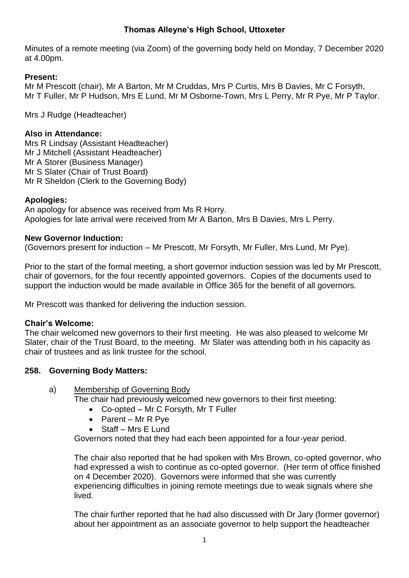# **Thomas Alleyne's High School, Uttoxeter**

Minutes of a remote meeting (via Zoom) of the governing body held on Monday, 7 December 2020 at 4.00pm.

## **Present:**

Mr M Prescott (chair), Mr A Barton, Mr M Cruddas, Mrs P Curtis, Mrs B Davies, Mr C Forsyth, Mr T Fuller, Mr P Hudson, Mrs E Lund, Mr M Osborne-Town, Mrs L Perry, Mr R Pye, Mr P Taylor.

Mrs J Rudge (Headteacher)

## **Also in Attendance:**

Mrs R Lindsay (Assistant Headteacher) Mr J Mitchell (Assistant Headteacher) Mr A Storer (Business Manager) Mr S Slater (Chair of Trust Board) Mr R Sheldon (Clerk to the Governing Body)

## **Apologies:**

An apology for absence was received from Ms R Horry. Apologies for late arrival were received from Mr A Barton, Mrs B Davies, Mrs L Perry.

#### **New Governor Induction:**

(Governors present for induction – Mr Prescott, Mr Forsyth, Mr Fuller, Mrs Lund, Mr Pye).

Prior to the start of the formal meeting, a short governor induction session was led by Mr Prescott, chair of governors, for the four recently appointed governors. Copies of the documents used to support the induction would be made available in Office 365 for the benefit of all governors.

Mr Prescott was thanked for delivering the induction session.

## **Chair's Welcome:**

The chair welcomed new governors to their first meeting. He was also pleased to welcome Mr Slater, chair of the Trust Board, to the meeting. Mr Slater was attending both in his capacity as chair of trustees and as link trustee for the school.

## **258. Governing Body Matters:**

#### a) Membership of Governing Body

The chair had previously welcomed new governors to their first meeting:

- Co-opted Mr C Forsyth, Mr T Fuller
- Parent Mr R Pye
- Staff Mrs E Lund

Governors noted that they had each been appointed for a four-year period.

The chair also reported that he had spoken with Mrs Brown, co-opted governor, who had expressed a wish to continue as co-opted governor. (Her term of office finished on 4 December 2020). Governors were informed that she was currently experiencing difficulties in joining remote meetings due to weak signals where she lived.

The chair further reported that he had also discussed with Dr Jary (former governor) about her appointment as an associate governor to help support the headteacher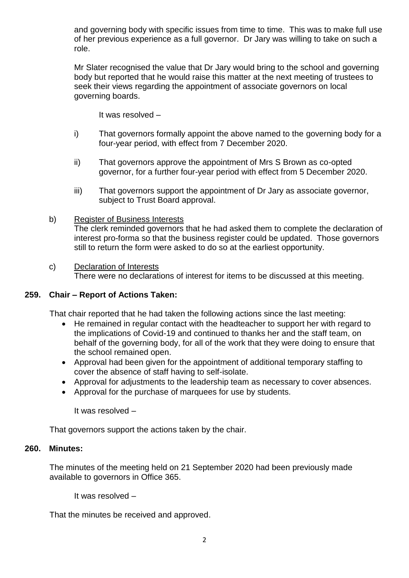and governing body with specific issues from time to time. This was to make full use of her previous experience as a full governor. Dr Jary was willing to take on such a role.

Mr Slater recognised the value that Dr Jary would bring to the school and governing body but reported that he would raise this matter at the next meeting of trustees to seek their views regarding the appointment of associate governors on local governing boards.

It was resolved –

- i) That governors formally appoint the above named to the governing body for a four-year period, with effect from 7 December 2020.
- ii) That governors approve the appointment of Mrs S Brown as co-opted governor, for a further four-year period with effect from 5 December 2020.
- iii) That governors support the appointment of Dr Jary as associate governor, subject to Trust Board approval.

## b) Register of Business Interests

The clerk reminded governors that he had asked them to complete the declaration of interest pro-forma so that the business register could be updated. Those governors still to return the form were asked to do so at the earliest opportunity.

#### c) Declaration of Interests

There were no declarations of interest for items to be discussed at this meeting.

#### **259. Chair – Report of Actions Taken:**

That chair reported that he had taken the following actions since the last meeting:

- He remained in regular contact with the headteacher to support her with regard to the implications of Covid-19 and continued to thanks her and the staff team, on behalf of the governing body, for all of the work that they were doing to ensure that the school remained open.
- Approval had been given for the appointment of additional temporary staffing to cover the absence of staff having to self-isolate.
- Approval for adjustments to the leadership team as necessary to cover absences.
- Approval for the purchase of marquees for use by students.

It was resolved –

That governors support the actions taken by the chair.

#### **260. Minutes:**

The minutes of the meeting held on 21 September 2020 had been previously made available to governors in Office 365.

It was resolved –

That the minutes be received and approved.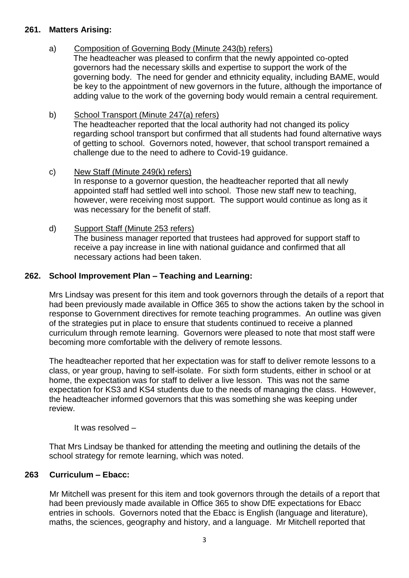## **261. Matters Arising:**

## a) Composition of Governing Body (Minute 243(b) refers)

The headteacher was pleased to confirm that the newly appointed co-opted governors had the necessary skills and expertise to support the work of the governing body. The need for gender and ethnicity equality, including BAME, would be key to the appointment of new governors in the future, although the importance of adding value to the work of the governing body would remain a central requirement.

## b) School Transport (Minute 247(a) refers)

The headteacher reported that the local authority had not changed its policy regarding school transport but confirmed that all students had found alternative ways of getting to school. Governors noted, however, that school transport remained a challenge due to the need to adhere to Covid-19 guidance.

## c) New Staff (Minute 249(k) refers)

In response to a governor question, the headteacher reported that all newly appointed staff had settled well into school. Those new staff new to teaching, however, were receiving most support. The support would continue as long as it was necessary for the benefit of staff.

## d) Support Staff (Minute 253 refers)

The business manager reported that trustees had approved for support staff to receive a pay increase in line with national guidance and confirmed that all necessary actions had been taken.

# **262. School Improvement Plan – Teaching and Learning:**

Mrs Lindsay was present for this item and took governors through the details of a report that had been previously made available in Office 365 to show the actions taken by the school in response to Government directives for remote teaching programmes. An outline was given of the strategies put in place to ensure that students continued to receive a planned curriculum through remote learning. Governors were pleased to note that most staff were becoming more comfortable with the delivery of remote lessons.

The headteacher reported that her expectation was for staff to deliver remote lessons to a class, or year group, having to self-isolate. For sixth form students, either in school or at home, the expectation was for staff to deliver a live lesson. This was not the same expectation for KS3 and KS4 students due to the needs of managing the class. However, the headteacher informed governors that this was something she was keeping under review.

## It was resolved –

That Mrs Lindsay be thanked for attending the meeting and outlining the details of the school strategy for remote learning, which was noted.

# **263 Curriculum – Ebacc:**

Mr Mitchell was present for this item and took governors through the details of a report that had been previously made available in Office 365 to show DfE expectations for Ebacc entries in schools. Governors noted that the Ebacc is English (language and literature), maths, the sciences, geography and history, and a language. Mr Mitchell reported that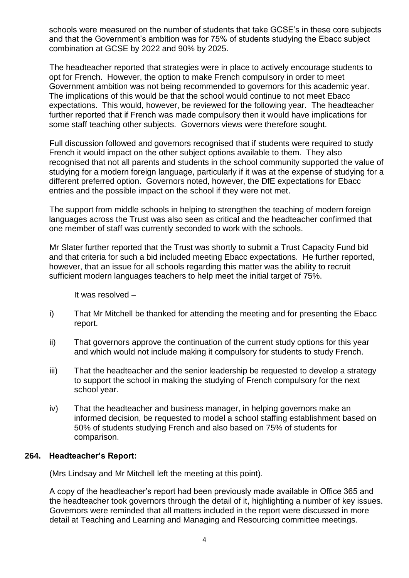schools were measured on the number of students that take GCSE's in these core subjects and that the Government's ambition was for 75% of students studying the Ebacc subject combination at GCSE by 2022 and 90% by 2025.

The headteacher reported that strategies were in place to actively encourage students to opt for French. However, the option to make French compulsory in order to meet Government ambition was not being recommended to governors for this academic year. The implications of this would be that the school would continue to not meet Ebacc expectations. This would, however, be reviewed for the following year. The headteacher further reported that if French was made compulsory then it would have implications for some staff teaching other subjects. Governors views were therefore sought.

Full discussion followed and governors recognised that if students were required to study French it would impact on the other subject options available to them. They also recognised that not all parents and students in the school community supported the value of studying for a modern foreign language, particularly if it was at the expense of studying for a different preferred option. Governors noted, however, the DfE expectations for Ebacc entries and the possible impact on the school if they were not met.

The support from middle schools in helping to strengthen the teaching of modern foreign languages across the Trust was also seen as critical and the headteacher confirmed that one member of staff was currently seconded to work with the schools.

Mr Slater further reported that the Trust was shortly to submit a Trust Capacity Fund bid and that criteria for such a bid included meeting Ebacc expectations. He further reported, however, that an issue for all schools regarding this matter was the ability to recruit sufficient modern languages teachers to help meet the initial target of 75%.

It was resolved –

- i) That Mr Mitchell be thanked for attending the meeting and for presenting the Ebacc report.
- ii) That governors approve the continuation of the current study options for this year and which would not include making it compulsory for students to study French.
- iii) That the headteacher and the senior leadership be requested to develop a strategy to support the school in making the studying of French compulsory for the next school year.
- iv) That the headteacher and business manager, in helping governors make an informed decision, be requested to model a school staffing establishment based on 50% of students studying French and also based on 75% of students for comparison.

## **264. Headteacher's Report:**

(Mrs Lindsay and Mr Mitchell left the meeting at this point).

A copy of the headteacher's report had been previously made available in Office 365 and the headteacher took governors through the detail of it, highlighting a number of key issues. Governors were reminded that all matters included in the report were discussed in more detail at Teaching and Learning and Managing and Resourcing committee meetings.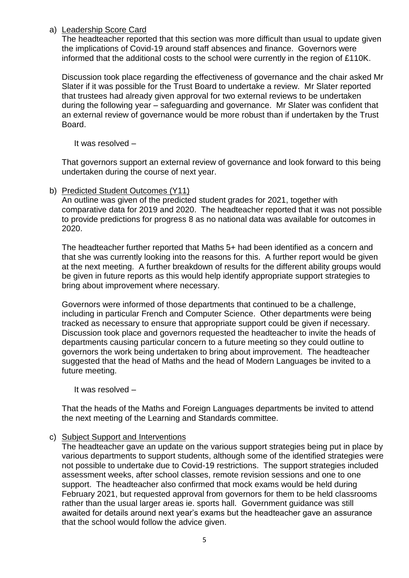## a) Leadership Score Card

The headteacher reported that this section was more difficult than usual to update given the implications of Covid-19 around staff absences and finance. Governors were informed that the additional costs to the school were currently in the region of £110K.

Discussion took place regarding the effectiveness of governance and the chair asked Mr Slater if it was possible for the Trust Board to undertake a review. Mr Slater reported that trustees had already given approval for two external reviews to be undertaken during the following year – safeguarding and governance. Mr Slater was confident that an external review of governance would be more robust than if undertaken by the Trust Board.

It was resolved –

That governors support an external review of governance and look forward to this being undertaken during the course of next year.

b) Predicted Student Outcomes (Y11)

An outline was given of the predicted student grades for 2021, together with comparative data for 2019 and 2020. The headteacher reported that it was not possible to provide predictions for progress 8 as no national data was available for outcomes in 2020.

The headteacher further reported that Maths 5+ had been identified as a concern and that she was currently looking into the reasons for this. A further report would be given at the next meeting. A further breakdown of results for the different ability groups would be given in future reports as this would help identify appropriate support strategies to bring about improvement where necessary.

Governors were informed of those departments that continued to be a challenge, including in particular French and Computer Science. Other departments were being tracked as necessary to ensure that appropriate support could be given if necessary. Discussion took place and governors requested the headteacher to invite the heads of departments causing particular concern to a future meeting so they could outline to governors the work being undertaken to bring about improvement. The headteacher suggested that the head of Maths and the head of Modern Languages be invited to a future meeting.

It was resolved –

That the heads of the Maths and Foreign Languages departments be invited to attend the next meeting of the Learning and Standards committee.

## c) Subject Support and Interventions

The headteacher gave an update on the various support strategies being put in place by various departments to support students, although some of the identified strategies were not possible to undertake due to Covid-19 restrictions. The support strategies included assessment weeks, after school classes, remote revision sessions and one to one support. The headteacher also confirmed that mock exams would be held during February 2021, but requested approval from governors for them to be held classrooms rather than the usual larger areas ie. sports hall. Government guidance was still awaited for details around next year's exams but the headteacher gave an assurance that the school would follow the advice given.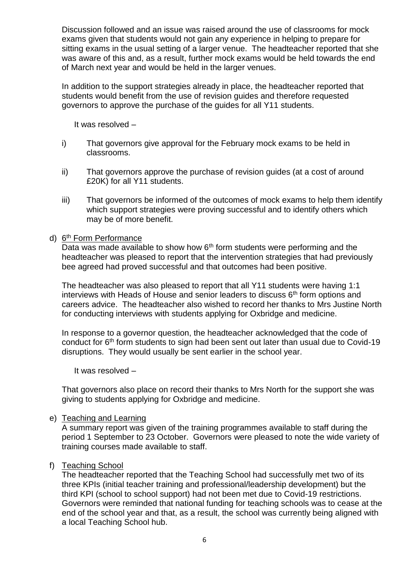Discussion followed and an issue was raised around the use of classrooms for mock exams given that students would not gain any experience in helping to prepare for sitting exams in the usual setting of a larger venue. The headteacher reported that she was aware of this and, as a result, further mock exams would be held towards the end of March next year and would be held in the larger venues.

In addition to the support strategies already in place, the headteacher reported that students would benefit from the use of revision guides and therefore requested governors to approve the purchase of the guides for all Y11 students.

It was resolved –

- i) That governors give approval for the February mock exams to be held in classrooms.
- ii) That governors approve the purchase of revision guides (at a cost of around £20K) for all Y11 students.
- iii) That governors be informed of the outcomes of mock exams to help them identify which support strategies were proving successful and to identify others which may be of more benefit.

#### d) 6<sup>th</sup> Form Performance

Data was made available to show how  $6<sup>th</sup>$  form students were performing and the headteacher was pleased to report that the intervention strategies that had previously bee agreed had proved successful and that outcomes had been positive.

The headteacher was also pleased to report that all Y11 students were having 1:1 interviews with Heads of House and senior leaders to discuss 6<sup>th</sup> form options and careers advice. The headteacher also wished to record her thanks to Mrs Justine North for conducting interviews with students applying for Oxbridge and medicine.

In response to a governor question, the headteacher acknowledged that the code of conduct for 6<sup>th</sup> form students to sign had been sent out later than usual due to Covid-19 disruptions. They would usually be sent earlier in the school year.

It was resolved –

That governors also place on record their thanks to Mrs North for the support she was giving to students applying for Oxbridge and medicine.

#### e) Teaching and Learning

A summary report was given of the training programmes available to staff during the period 1 September to 23 October. Governors were pleased to note the wide variety of training courses made available to staff.

## f) Teaching School

The headteacher reported that the Teaching School had successfully met two of its three KPIs (initial teacher training and professional/leadership development) but the third KPI (school to school support) had not been met due to Covid-19 restrictions. Governors were reminded that national funding for teaching schools was to cease at the end of the school year and that, as a result, the school was currently being aligned with a local Teaching School hub.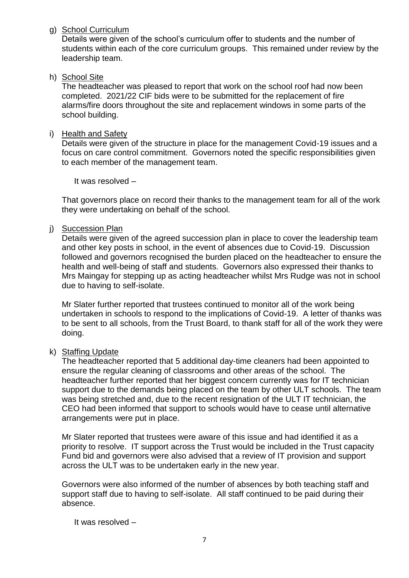g) School Curriculum

Details were given of the school's curriculum offer to students and the number of students within each of the core curriculum groups. This remained under review by the leadership team.

h) School Site

The headteacher was pleased to report that work on the school roof had now been completed. 2021/22 CIF bids were to be submitted for the replacement of fire alarms/fire doors throughout the site and replacement windows in some parts of the school building.

## i) Health and Safety

Details were given of the structure in place for the management Covid-19 issues and a focus on care control commitment. Governors noted the specific responsibilities given to each member of the management team.

It was resolved –

That governors place on record their thanks to the management team for all of the work they were undertaking on behalf of the school.

## j) Succession Plan

Details were given of the agreed succession plan in place to cover the leadership team and other key posts in school, in the event of absences due to Covid-19. Discussion followed and governors recognised the burden placed on the headteacher to ensure the health and well-being of staff and students. Governors also expressed their thanks to Mrs Maingay for stepping up as acting headteacher whilst Mrs Rudge was not in school due to having to self-isolate.

Mr Slater further reported that trustees continued to monitor all of the work being undertaken in schools to respond to the implications of Covid-19. A letter of thanks was to be sent to all schools, from the Trust Board, to thank staff for all of the work they were doing.

## k) Staffing Update

The headteacher reported that 5 additional day-time cleaners had been appointed to ensure the regular cleaning of classrooms and other areas of the school. The headteacher further reported that her biggest concern currently was for IT technician support due to the demands being placed on the team by other ULT schools. The team was being stretched and, due to the recent resignation of the ULT IT technician, the CEO had been informed that support to schools would have to cease until alternative arrangements were put in place.

Mr Slater reported that trustees were aware of this issue and had identified it as a priority to resolve. IT support across the Trust would be included in the Trust capacity Fund bid and governors were also advised that a review of IT provision and support across the ULT was to be undertaken early in the new year.

Governors were also informed of the number of absences by both teaching staff and support staff due to having to self-isolate. All staff continued to be paid during their absence.

It was resolved –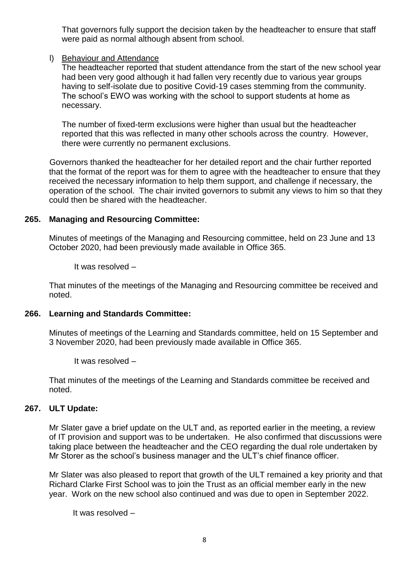That governors fully support the decision taken by the headteacher to ensure that staff were paid as normal although absent from school.

## l) Behaviour and Attendance

The headteacher reported that student attendance from the start of the new school year had been very good although it had fallen very recently due to various year groups having to self-isolate due to positive Covid-19 cases stemming from the community. The school's EWO was working with the school to support students at home as necessary.

The number of fixed-term exclusions were higher than usual but the headteacher reported that this was reflected in many other schools across the country. However, there were currently no permanent exclusions.

Governors thanked the headteacher for her detailed report and the chair further reported that the format of the report was for them to agree with the headteacher to ensure that they received the necessary information to help them support, and challenge if necessary, the operation of the school. The chair invited governors to submit any views to him so that they could then be shared with the headteacher.

## **265. Managing and Resourcing Committee:**

Minutes of meetings of the Managing and Resourcing committee, held on 23 June and 13 October 2020, had been previously made available in Office 365.

It was resolved –

That minutes of the meetings of the Managing and Resourcing committee be received and noted.

#### **266. Learning and Standards Committee:**

Minutes of meetings of the Learning and Standards committee, held on 15 September and 3 November 2020, had been previously made available in Office 365.

It was resolved –

That minutes of the meetings of the Learning and Standards committee be received and noted.

#### **267. ULT Update:**

Mr Slater gave a brief update on the ULT and, as reported earlier in the meeting, a review of IT provision and support was to be undertaken. He also confirmed that discussions were taking place between the headteacher and the CEO regarding the dual role undertaken by Mr Storer as the school's business manager and the ULT's chief finance officer.

Mr Slater was also pleased to report that growth of the ULT remained a key priority and that Richard Clarke First School was to join the Trust as an official member early in the new year. Work on the new school also continued and was due to open in September 2022.

It was resolved –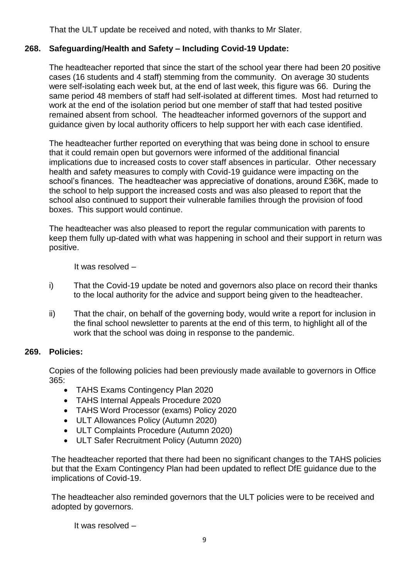That the ULT update be received and noted, with thanks to Mr Slater.

# **268. Safeguarding/Health and Safety – Including Covid-19 Update:**

The headteacher reported that since the start of the school year there had been 20 positive cases (16 students and 4 staff) stemming from the community. On average 30 students were self-isolating each week but, at the end of last week, this figure was 66. During the same period 48 members of staff had self-isolated at different times. Most had returned to work at the end of the isolation period but one member of staff that had tested positive remained absent from school. The headteacher informed governors of the support and guidance given by local authority officers to help support her with each case identified.

The headteacher further reported on everything that was being done in school to ensure that it could remain open but governors were informed of the additional financial implications due to increased costs to cover staff absences in particular. Other necessary health and safety measures to comply with Covid-19 guidance were impacting on the school's finances. The headteacher was appreciative of donations, around £36K, made to the school to help support the increased costs and was also pleased to report that the school also continued to support their vulnerable families through the provision of food boxes. This support would continue.

The headteacher was also pleased to report the regular communication with parents to keep them fully up-dated with what was happening in school and their support in return was positive.

It was resolved –

- i) That the Covid-19 update be noted and governors also place on record their thanks to the local authority for the advice and support being given to the headteacher.
- ii) That the chair, on behalf of the governing body, would write a report for inclusion in the final school newsletter to parents at the end of this term, to highlight all of the work that the school was doing in response to the pandemic.

## **269. Policies:**

Copies of the following policies had been previously made available to governors in Office 365:

- TAHS Exams Contingency Plan 2020
- TAHS Internal Appeals Procedure 2020
- TAHS Word Processor (exams) Policy 2020
- ULT Allowances Policy (Autumn 2020)
- ULT Complaints Procedure (Autumn 2020)
- ULT Safer Recruitment Policy (Autumn 2020)

The headteacher reported that there had been no significant changes to the TAHS policies but that the Exam Contingency Plan had been updated to reflect DfE guidance due to the implications of Covid-19.

The headteacher also reminded governors that the ULT policies were to be received and adopted by governors.

It was resolved –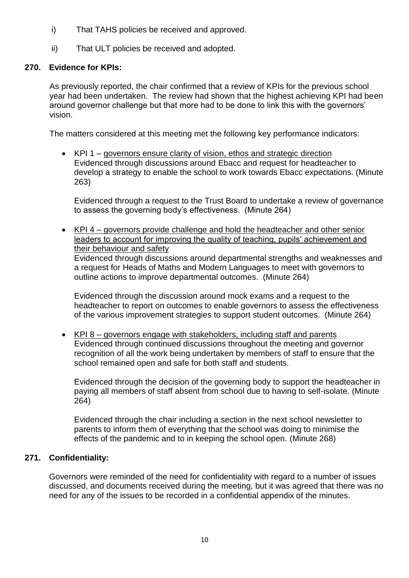- i) That TAHS policies be received and approved.
- ii) That ULT policies be received and adopted.

## **270. Evidence for KPIs:**

As previously reported, the chair confirmed that a review of KPIs for the previous school year had been undertaken. The review had shown that the highest achieving KPI had been around governor challenge but that more had to be done to link this with the governors' vision.

The matters considered at this meeting met the following key performance indicators:

• KPI 1 – governors ensure clarity of vision, ethos and strategic direction Evidenced through discussions around Ebacc and request for headteacher to develop a strategy to enable the school to work towards Ebacc expectations. (Minute 263)

Evidenced through a request to the Trust Board to undertake a review of governance to assess the governing body's effectiveness. (Minute 264)

• KPI 4 – governors provide challenge and hold the headteacher and other senior leaders to account for improving the quality of teaching, pupils' achievement and their behaviour and safety Evidenced through discussions around departmental strengths and weaknesses and a request for Heads of Maths and Modern Languages to meet with governors to outline actions to improve departmental outcomes. (Minute 264)

Evidenced through the discussion around mock exams and a request to the headteacher to report on outcomes to enable governors to assess the effectiveness of the various improvement strategies to support student outcomes. (Minute 264)

• KPI 8 – governors engage with stakeholders, including staff and parents Evidenced through continued discussions throughout the meeting and governor recognition of all the work being undertaken by members of staff to ensure that the school remained open and safe for both staff and students.

Evidenced through the decision of the governing body to support the headteacher in paying all members of staff absent from school due to having to self-isolate. (Minute 264)

Evidenced through the chair including a section in the next school newsletter to parents to inform them of everything that the school was doing to minimise the effects of the pandemic and to in keeping the school open. (Minute 268)

## **271. Confidentiality:**

Governors were reminded of the need for confidentiality with regard to a number of issues discussed, and documents received during the meeting, but it was agreed that there was no need for any of the issues to be recorded in a confidential appendix of the minutes.